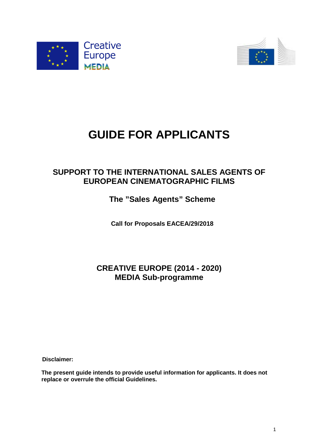



# **GUIDE FOR APPLICANTS**

# **SUPPORT TO THE INTERNATIONAL SALES AGENTS OF EUROPEAN CINEMATOGRAPHIC FILMS**

# **The "Sales Agents" Scheme**

**Call for Proposals EACEA/29/2018**

# **CREATIVE EUROPE (2014 - 2020) MEDIA Sub-programme**

**Disclaimer:** 

**The present guide intends to provide useful information for applicants. It does not replace or overrule the official Guidelines.**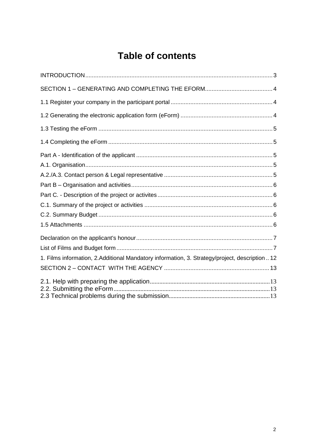# **Table of contents**

| 1. Films information, 2. Additional Mandatory information, 3. Strategy/project, description  12 |  |
|-------------------------------------------------------------------------------------------------|--|
|                                                                                                 |  |
|                                                                                                 |  |
|                                                                                                 |  |
|                                                                                                 |  |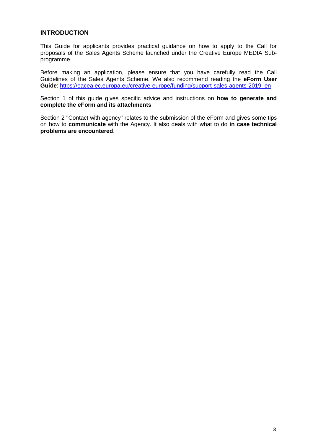## **INTRODUCTION**

This Guide for applicants provides practical guidance on how to apply to the Call for proposals of the Sales Agents Scheme launched under the Creative Europe MEDIA Subprogramme.

Before making an application, please ensure that you have carefully read the Call Guidelines of the Sales Agents Scheme. We also recommend reading the **eForm User Guide**: https://eacea.ec.europa.eu/creative-europe/funding/support-sales-agents-2019\_en

Section 1 of this guide gives specific advice and instructions on **how to generate and complete the eForm and its attachments**.

Section 2 "Contact with agency" relates to the submission of the eForm and gives some tips on how to **communicate** with the Agency. It also deals with what to do **in case technical problems are encountered**.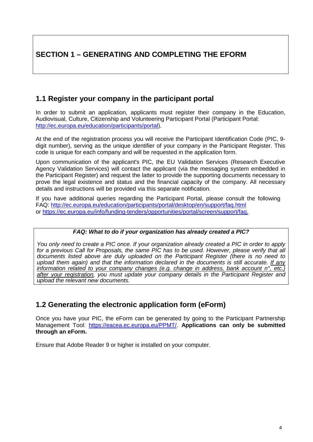# <span id="page-3-0"></span>**SECTION 1 – GENERATING AND COMPLETING THE EFORM**

# <span id="page-3-1"></span>**1.1 Register your company in the participant portal**

In order to submit an application, applicants must register their company in the Education, Audiovisual, Culture, Citizenship and Volunteering Participant Portal (Participant Portal: [http://ec.europa.eu/education/participants/portal\)](http://ec.europa.eu/education/participants/portal).

At the end of the registration process you will receive the Participant Identification Code (PIC, 9 digit number), serving as the unique identifier of your company in the Participant Register. This code is unique for each company and will be requested in the application form.

Upon communication of the applicant's PIC, the EU Validation Services (Research Executive Agency Validation Services) will contact the applicant (via the messaging system embedded in the Participant Register) and request the latter to provide the supporting documents necessary to prove the legal existence and status and the financial capacity of the company. All necessary details and instructions will be provided via this separate notification.

If you have additional queries regarding the Participant Portal, please consult the following FAQ:<http://ec.europa.eu/education/participants/portal/desktop/en/support/faq.html> or [https://ec.europa.eu/info/funding-tenders/opportunities/portal/screen/support/faq.](https://ec.europa.eu/info/funding-tenders/opportunities/portal/screen/support/faq)

# *FAQ: What to do if your organization has already created a PIC?*

*You only need to create a PIC once. If your organization already created a PIC in order to apply for a previous Call for Proposals, the same PIC has to be used. However, please verify that all documents listed above are duly uploaded on the Participant Register (there is no need to upload them again) and that the information declared in the documents is still accurate. If any information related to your company changes (e.g. change in address, bank account n°, etc.) after your registration, you must update your company details in the Participant Register and upload the relevant new documents.*

# <span id="page-3-2"></span>**1.2 Generating the electronic application form (eForm)**

Once you have your PIC, the eForm can be generated by going to the Participant Partnership Management To[ol: https://eacea.ec.europa.eu/PPMT/.](https://eacea.ec.europa.eu/PPMT/) **Applications can only be submitted through an eForm.** 

Ensure that Adobe Reader 9 or higher is installed on your computer.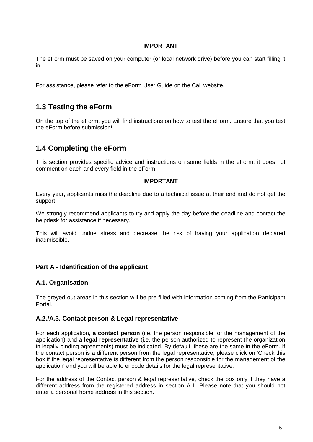#### **IMPORTANT**

The eForm must be saved on your computer (or local network drive) before you can start filling it in.

For assistance, please refer to the eForm User Guide on the Call website.

# <span id="page-4-0"></span>**1.3 Testing the eForm**

On the top of the eForm, you will find instructions on how to test the eForm. Ensure that you test the eForm before submission!

# <span id="page-4-1"></span>**1.4 Completing the eForm**

This section provides specific advice and instructions on some fields in the eForm, it does not comment on each and every field in the eForm.

#### **IMPORTANT**

Every year, applicants miss the deadline due to a technical issue at their end and do not get the support.

We strongly recommend applicants to try and apply the day before the deadline and contact the helpdesk for assistance if necessary.

This will avoid undue stress and decrease the risk of having your application declared inadmissible.

# <span id="page-4-2"></span>**Part A - Identification of the applicant**

# <span id="page-4-3"></span>**A.1. Organisation**

The greyed-out areas in this section will be pre-filled with information coming from the Participant Portal.

# <span id="page-4-4"></span>**A.2./A.3. Contact person & Legal representative**

For each application, **a contact person** (i.e. the person responsible for the management of the application) and **a legal representative** (i.e. the person authorized to represent the organization in legally binding agreements) must be indicated. By default, these are the same in the eForm. If the contact person is a different person from the legal representative, please click on 'Check this box if the legal representative is different from the person responsible for the management of the application' and you will be able to encode details for the legal representative.

For the address of the Contact person & legal representative, check the box only if they have a different address from the registered address in section A.1. Please note that you should not enter a personal home address in this section.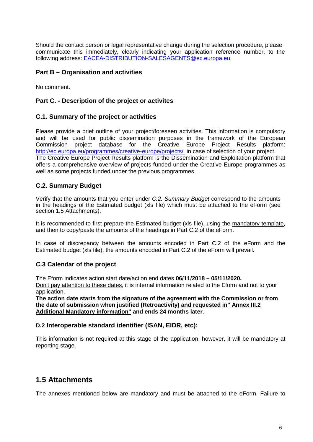Should the contact person or legal representative change during the selection procedure, please communicate this immediately, clearly indicating your application reference number, to the following address: [EACEA-DISTRIBUTION-SALESAGENTS@ec.europa.eu](mailto:eacea-media-development@ec.europa.eu)

# <span id="page-5-0"></span>**Part B – Organisation and activities**

<span id="page-5-1"></span>No comment.

# **Part C. - Description of the project or activites**

# <span id="page-5-2"></span>**C.1. Summary of the project or activities**

Please provide a brief outline of your project/foreseen activities. This information is compulsory and will be used for public dissemination purposes in the framework of the European Commission project database for the Creative Europe Project Results platform: <http://ec.europa.eu/programmes/creative-europe/projects/> in case of selection of your project. The Creative Europe Project Results platform is the Dissemination and Exploitation platform that offers a comprehensive overview of projects funded under the Creative Europe programmes as well as some projects funded under the previous programmes.

# <span id="page-5-3"></span>**C.2. Summary Budget**

Verify that the amounts that you enter under *C.2. Summary Budget* correspond to the amounts in the headings of the Estimated budget (xls file) which must be attached to the eForm (see section 1.5 Attachments).

It is recommended to first prepare the Estimated budget (xls file), using the mandatory template, and then to copy/paste the amounts of the headings in Part C.2 of the eForm.

In case of discrepancy between the amounts encoded in Part C.2 of the eForm and the Estimated budget (xls file), the amounts encoded in Part C.2 of the eForm will prevail.

# *C.***3 Calendar of the project**

The Eform indicates action start date/action end dates **06/11/2018 – 05/11/2020.**

Don't pay attention to these dates, it is internal information related to the Eform and not to your application.

**The action date starts from the signature of the agreement with the Commission or from the date of submission when justified (Retroactivity) and requested in" Annex III.2 Additional Mandatory information" and ends 24 months later**.

# **D.2 Interoperable standard identifier (ISAN, EIDR, etc):**

This information is not required at this stage of the application; however, it will be mandatory at reporting stage.

# <span id="page-5-4"></span>**1.5 Attachments**

The annexes mentioned below are mandatory and must be attached to the eForm. Failure to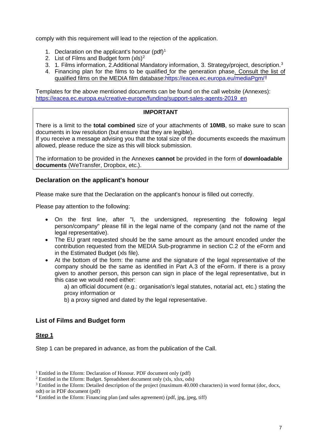comply with this requirement will lead to the rejection of the application.

- [1](#page-6-2). Declaration on the applicant's honour  $(\text{pdf})^1$
- [2](#page-6-3). List of Films and Budget form  $(x|s)^2$
- [3](#page-6-4). 1. Films information, 2.Additional Mandatory information, 3. Strategy/project, description.<sup>3</sup>
- 4. Financing plan for the films to be qualified for the generation phase. Consult the list of qualified films on the MEDIA film database[:https://eacea.ec.europa.eu/mediaPgm/](https://eacea.ec.europa.eu/mediaPgm/)[4](#page-6-5)

Templates for the above mentioned documents can be found on the call website (Annexes): [https://eacea.ec.europa.eu/creative-europe/funding/support-sales-agents-2019\\_en](https://eacea.ec.europa.eu/creative-europe/funding/support-sales-agents-2019_en)

#### **IMPORTANT**

There is a limit to the **total combined** size of your attachments of **10MB**, so make sure to scan documents in low resolution (but ensure that they are legible).

If you receive a message advising you that the total size of the documents exceeds the maximum allowed, please reduce the size as this will block submission.

The information to be provided in the Annexes **cannot** be provided in the form of **downloadable documents** (WeTransfer, Dropbox, etc.).

## <span id="page-6-0"></span>**Declaration on the applicant's honour**

Please make sure that the Declaration on the applicant's honour is filled out correctly.

Please pay attention to the following:

- On the first line, after "I, the undersigned, representing the following legal person/company" please fill in the legal name of the company (and not the name of the legal representative).
- The EU grant requested should be the same amount as the amount encoded under the contribution requested from the MEDIA Sub-programme in section C.2 of the eForm and in the Estimated Budget (xls file).
- At the bottom of the form: the name and the signature of the legal representative of the company should be the same as identified in Part A.3 of the eForm. If there is a proxy given to another person, this person can sign in place of the legal representative, but in this case we would need either:

a) an official document (e.g.: organisation's legal statutes, notarial act, etc.) stating the proxy information or

b) a proxy signed and dated by the legal representative.

# <span id="page-6-1"></span>**List of Films and Budget form**

#### **Step 1**

Step 1 can be prepared in advance, as from the publication of the Call.

<span id="page-6-2"></span><sup>&</sup>lt;sup>1</sup> Entitled in the Eform: Declaration of Honour. PDF document only (pdf)

<sup>2</sup> Entitled in the Eform: Budget. Spreadsheet document only (xls, xlsx, ods)

<span id="page-6-4"></span><span id="page-6-3"></span><sup>&</sup>lt;sup>3</sup> Entitled in the Eform: Detailed description of the project (maximum 40.000 characters) in word format (doc, docx, odt) or in PDF document (pdf)

<span id="page-6-5"></span><sup>4</sup> Entitled in the Eform: Financing plan (and sales agreement) (pdf, jpg, jpeg, tiff)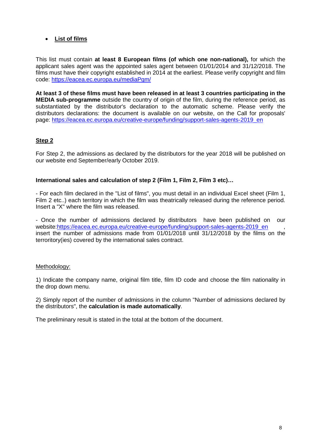# • **List of films**

This list must contain **at least 8 European films (of which one non-national),** for which the applicant sales agent was the appointed sales agent between 01/01/2014 and 31/12/2018. The films must have their copyright established in 2014 at the earliest. Please verify copyright and film code:<https://eacea.ec.europa.eu/mediaPgm/>

**At least 3 of these films must have been released in at least 3 countries participating in the MEDIA sub-programme** outside the country of origin of the film, during the reference period, as substantiated by the distributor's declaration to the automatic scheme. Please verify the distributors declarations: the document is available on our website, on the Call for proposals' page: [https://eacea.ec.europa.eu/creative-europe/funding/support-sales-agents-2019\\_en](https://eacea.ec.europa.eu/creative-europe/funding/support-sales-agents-2019_en)

# **Step 2**

For Step 2, the admissions as declared by the distributors for the year 2018 will be published on our website end September/early October 2019.

## **International sales and calculation of step 2 (Film 1, Film 2, Film 3 etc)…**

- For each film declared in the "List of films", you must detail in an individual Excel sheet (Film 1, Film 2 etc..) each territory in which the film was theatrically released during the reference period. Insert a "X" where the film was released.

- Once the number of admissions declared by distributors have been published on our website[:https://eacea.ec.europa.eu/creative-europe/funding/support-sales-agents-2019\\_en](https://eacea.ec.europa.eu/creative-europe/funding/support-sales-agents-2019_en) insert the number of admissions made from 01/01/2018 until 31/12/2018 by the films on the terroritory(ies) covered by the international sales contract.

# Methodology:

1) Indicate the company name, original film title, film ID code and choose the film nationality in the drop down menu.

2) Simply report of the number of admissions in the column "Number of admissions declared by the distributors", the **calculation is made automatically**.

The preliminary result is stated in the total at the bottom of the document.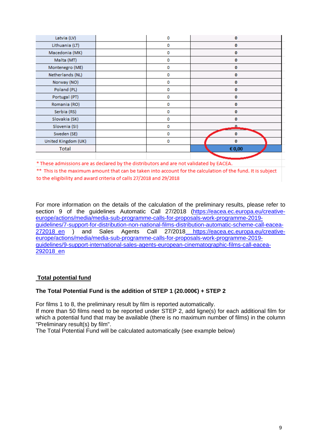| Latvia (LV)         | 0 | $\bf{0}$ |
|---------------------|---|----------|
| Lithuania (LT)      | 0 | 0        |
| Macedonia (MK)      | 0 | 0        |
| Malta (MT)          | 0 | 0        |
| Montenegro (ME)     | 0 | 0        |
| Netherlands (NL)    | 0 | 0        |
| Norway (NO)         | 0 | 0        |
| Poland (PL)         | 0 | 0        |
| Portugal (PT)       | 0 | 0        |
| Romania (RO)        | 0 | 0        |
| Serbia (RS)         | 0 | 0        |
| Slovakia (SK)       | 0 | 0        |
| Slovenia (SI)       | 0 | 0        |
| Sweden (SE)         | 0 | $\bf{0}$ |
| United Kingdom (UK) | 0 | o        |
| <b>Total</b>        |   | € 0,00   |
|                     |   |          |

\* These admissions are as declared by the distributors and are not validated by EACEA.

\*\* This is the maximum amount that can be taken into account for the calculation of the fund. It is subject to the eligibility and award criteria of calls 27/2018 and 29/2018

For more information on the details of the calculation of the preliminary results, please refer to section 9 of the quidelines Automatic Call 27/2018 [\(https://eacea.ec.europa.eu/creative](https://eacea.ec.europa.eu/creative-europe/actions/media/media-sub-programme-calls-for-proposals-work-programme-2019-guidelines/7-support-for-distribution-non-national-films-distribution-automatic-scheme-call-eacea-272018_en)[europe/actions/media/media-sub-programme-calls-for-proposals-work-programme-2019](https://eacea.ec.europa.eu/creative-europe/actions/media/media-sub-programme-calls-for-proposals-work-programme-2019-guidelines/7-support-for-distribution-non-national-films-distribution-automatic-scheme-call-eacea-272018_en) guidelines/7-support-for-distribution-non-national-films-distribution-automatic-scheme-call-eacea-<br>272018\_en ) and Sales Agents Call 27/2018 https://eacea.ec.europa.eu/creative-272018 en ) and Sales Agents Call 27/2018 https://eacea.ec.europa.eu/creativeeurope/actions/media/media-sub-programme-calls-for-proposals-work-programme-2019 guidelines/9-support-international-sales-agents-european-cinematographic-films-call-eacea-292018\_en

# **Total potential fund**

#### **The Total Potential Fund is the addition of STEP 1 (20.000€) + STEP 2**

For films 1 to 8, the preliminary result by film is reported automatically.

If more than 50 films need to be reported under STEP 2, add ligne(s) for each additional film for which a potential fund that may be available (there is no maximum number of films) in the column "Preliminary result(s) by film".

The Total Potential Fund will be calculated automatically (see example below)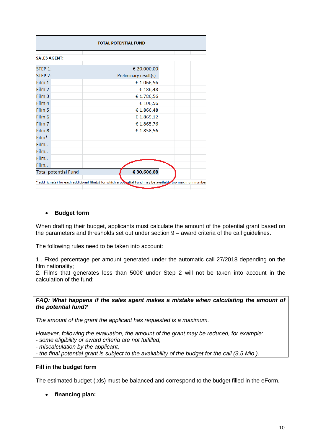| <b>TOTAL POTENTIAL FUND</b> |                       |  |  |  |
|-----------------------------|-----------------------|--|--|--|
| <b>SALES AGENT:</b>         |                       |  |  |  |
| STEP 1:                     | € 20.000,00           |  |  |  |
| <b>STEP 2:</b>              | Preliminary result(s) |  |  |  |
| Film 1                      | € 1.066,56            |  |  |  |
| Film 2                      | € 186,48              |  |  |  |
| Film 3                      | € 1.786,56            |  |  |  |
| Film 4                      | € 106,56              |  |  |  |
| Film 5                      | € 1.866,48            |  |  |  |
| Film 6                      | € 1.869,12            |  |  |  |
| Film 7                      | € 1.865,76            |  |  |  |
| Film 8                      | € 1.858,56            |  |  |  |
| Film*                       |                       |  |  |  |
| Film                        |                       |  |  |  |
| Film                        |                       |  |  |  |
| Film                        |                       |  |  |  |
| Film                        |                       |  |  |  |
| <b>Total potential Fund</b> | € 30.606,08           |  |  |  |

# • **Budget form**

When drafting their budget, applicants must calculate the amount of the potential grant based on the parameters and thresholds set out under section 9 – award criteria of the call guidelines.

The following rules need to be taken into account:

1.. Fixed percentage per amount generated under the automatic call 27/2018 depending on the film nationality;

2. Films that generates less than 500€ under Step 2 will not be taken into account in the calculation of the fund;

#### *FAQ: What happens if the sales agent makes a mistake when calculating the amount of the potential fund?*

*The amount of the grant the applicant has requested is a maximum.*

*However, following the evaluation, the amount of the grant may be reduced, for example:*

*- some eligibility or award criteria are not fulfilled,*

*- miscalculation by the applicant,*

*- the final potential grant is subject to the availability of the budget for the call (3,5 Mio ).*

#### **Fill in the budget form**

The estimated budget (.xls) must be balanced and correspond to the budget filled in the eForm.

• **financing plan:**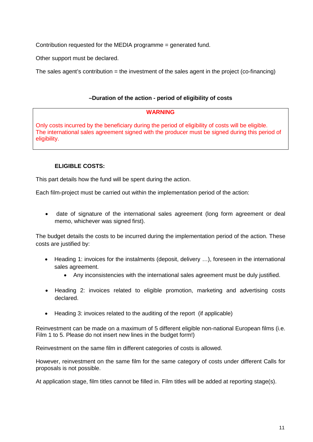Contribution requested for the MEDIA programme = generated fund.

Other support must be declared.

The sales agent's contribution = the investment of the sales agent in the project (co-financing)

## **–Duration of the action - period of eligibility of costs**

#### **WARNING**

Only costs incurred by the beneficiary during the period of eligibility of costs will be eligible. The international sales agreement signed with the producer must be signed during this period of eligibility.

## **ELIGIBLE COSTS:**

This part details how the fund will be spent during the action.

Each film-project must be carried out within the implementation period of the action:

• date of signature of the international sales agreement (long form agreement or deal memo, whichever was signed first).

The budget details the costs to be incurred during the implementation period of the action. These costs are justified by:

- Heading 1: invoices for the instalments (deposit, delivery …), foreseen in the international sales agreement.
	- Any inconsistencies with the international sales agreement must be duly justified.
- Heading 2: invoices related to eligible promotion, marketing and advertising costs declared.
- Heading 3: invoices related to the auditing of the report (if applicable)

Reinvestment can be made on a maximum of 5 different eligible non-national European films (i.e. Film 1 to 5. Please do not insert new lines in the budget form!)

Reinvestment on the same film in different categories of costs is allowed.

However, reinvestment on the same film for the same category of costs under different Calls for proposals is not possible.

At application stage, film titles cannot be filled in. Film titles will be added at reporting stage(s).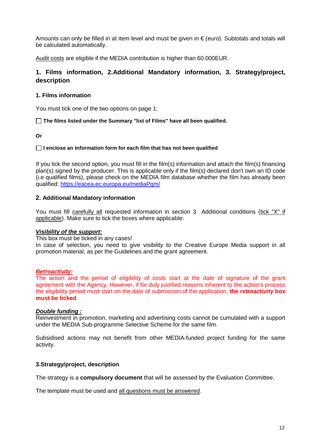Amounts can only be filled in at item level and must be given in  $\epsilon$  (euro). Subtotals and totals will be calculated automatically.

<span id="page-11-0"></span>Audit costs are eligible if the MEDIA contribution is higher than 60.000EUR.

# **1. Films information, 2.Additional Mandatory information, 3. Strategy/project, description**

#### **1. Films information**

You must tick one of the two options on page 1:

**The films listed under the Summary "list of Films" have all been qualified.**

**Or**

#### **I enclose an Information form for each film that has not been qualified**

If you tick the second option, you must fill in the film(s) information and attach the film(s) financing plan(s) signed by the producer. This is applicable only if the film(s) declared don't own an ID code (i.e qualified films), please check on the MEDIA film database whether the film has already been qualified:<https://eacea.ec.europa.eu/mediaPgm/>

#### **2. Additional Mandatory information**

You must fill carefully all requested information in section 3 Additional conditions (tick "X" if applicable). Make sure to tick the boxes where applicable:

#### *Visibility of the support:*

This box must be ticked in any cases!

In case of selection, you need to give visibility to the Creative Europe Media support in all promotion material, as per the Guidelines and the grant agreement.

#### *Retroactivity:*

The action and the period of eligibility of costs start at the date of signature of the grant agreement with the Agency. However, if for duly justified reasons inherent to the action's process the eligibility period must start on the date of submission of the application, **the retroactivity box must be ticked**.

#### *Double funding :*

Reinvestment in promotion, marketing and advertising costs cannot be cumulated with a support under the MEDIA Sub-programme Selective Scheme for the same film.

Subsidised actions may not benefit from other MEDIA-funded project funding for the same activity.

#### **3.Strategy/project, description**

The strategy is a **compulsory document** that will be assessed by the Evaluation Committee.

The template must be used and all questions must be answered.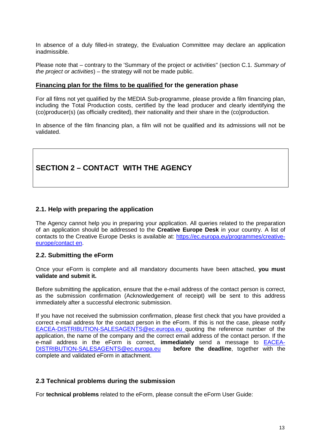In absence of a duly filled-in strategy, the Evaluation Committee may declare an application inadmissible.

Please note that – contrary to the 'Summary of the project or activities" (section C.1. *Summary of the project or activities*) – the strategy will not be made public.

#### **Financing plan for the films to be qualified for the generation phase**

For all films not yet qualified by the MEDIA Sub-programme, please provide a film financing plan, including the Total Production costs, certified by the lead producer and clearly identifying the (co)producer(s) (as officially credited), their nationality and their share in the (co)production.

In absence of the film financing plan, a film will not be qualified and its admissions will not be validated.

# <span id="page-12-0"></span>**SECTION 2 – CONTACT WITH THE AGENCY**

# <span id="page-12-1"></span>**2.1. Help with preparing the application**

The Agency cannot help you in preparing your application. All queries related to the preparation of an application should be addressed to the **Creative Europe Desk** in your country. A list of contacts to the Creative Europe Desks is available at: [https://ec.europa.eu/programmes/creative](https://ec.europa.eu/programmes/creative-europe/contact_en)[europe/contact en.](https://ec.europa.eu/programmes/creative-europe/contact_en)

#### <span id="page-12-2"></span>**2.2. Submitting the eForm**

Once your eForm is complete and all mandatory documents have been attached, **you must validate and submit it.**

Before submitting the application, ensure that the e-mail address of the contact person is correct, as the submission confirmation (Acknowledgement of receipt) will be sent to this address immediately after a successful electronic submission.

If you have not received the submission confirmation, please first check that you have provided a correct e-mail address for the contact person in the eForm. If this is not the case, please notif[y](mailto:%20EACEA-DISTRIBUTION-SALESAGENTS@ec.europa.eu) [EACEA-DISTRIBUTION-SALESAGENTS@ec.europa.eu](mailto:%20EACEA-DISTRIBUTION-SALESAGENTS@ec.europa.eu) quoting the reference number of the application, the name of the company and the correct email address of the contact person. If the e-mail address in the eForm is correct, **immediately** send a message to [EACEA-](mailto:EACEA-DISTRIBUTION-SALESAGENTS@ec.europa.eu)[DISTRIBUTION-SALESAGENTS@ec.europa.eu](mailto:EACEA-DISTRIBUTION-SALESAGENTS@ec.europa.eu) **[b](mailto:eacea-media-development@ec.europa.eu)efore the deadline**, together with the complete and validated eForm in attachment.

#### <span id="page-12-3"></span>**2.3 Technical problems during the submission**

For **technical problems** related to the eForm, please consult the eForm User Guide: